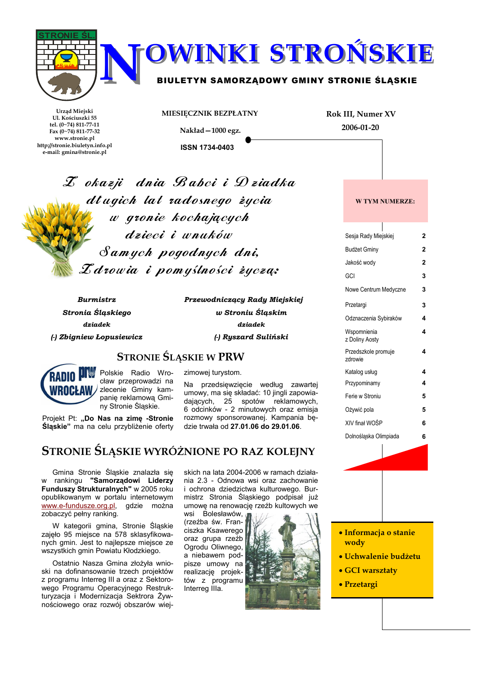



BIULETYN SAMORZĄDOWY GMINY STRONIE ŚLĄSKIE

Urząd Miejski Ul. Kościuszki 55 tel. (0~74) 811-77-11 Fax  $(0-74)$  811-77-32 www.stronie.pl http://stronie.biuletyn.info.pl e-mail: gmina@stronie.pl

MIESIĘCZNIK BEZPŁATNY Nakład-1000 egz.

**Rok III, Numer XV** 2006-01-20

**ISSN 1734-0403** 

 $\mathcal{I}$  okazji dnia Babci i Dziadka długich lat radosnego życia w gronie kochajacych dzieci i wnaków Samych pogodnych dni,  $\mathcal{I}$ drowia i pomyślności życza:

**Burmistrz** Stronia Ślaskiego dziadek

(-) Zbigniew Łopusiewicz

Przewodniczący Rady Miejskiej w Stroniu Ślaskim dziadek (-) Ryszard Suliński

## **STRONIE ŚLĄSKIE W PRW**



cław przeprowadzi na zlecenie Gminy kampanię reklamową Gminy Stronie Śląskie.

Projekt Pt: "Do Nas na zime -Stronie Ślaskie" ma na celu przybliżenie oferty Na przedsięwzięcie według zawartej

zimowej turystom.

umowy, ma się składać: 10 jingli zapowiadających, 25 spotów reklamowych, 6 odcinków - 2 minutowych oraz emisia rozmowy sponsorowanej. Kampania bedzie trwała od 27.01.06 do 29.01.06.

# STRONIE ŚLĄSKIE WYRÓŻNIONE PO RAZ KOLEJNY

Gmina Stronie Śląskie znalazła się w rankingu "Samorządowi Liderzy Funduszy Strukturalnych" w 2005 roku opublikowanym w portalu internetowym gdzie można www.e-fundusze.org.pl, zobaczyć pełny ranking.

W kategorii gmina, Stronie Śląskie zajęło 95 miejsce na 578 sklasyfikowanych gmin. Jest to najlepsze miejsce ze wszystkich gmin Powiatu Kłodzkiego.

Ostatnio Nasza Gmina złożyła wnioski na dofinansowanie trzech projektów z programu Interreg III a oraz z Sektorowego Programu Operacyjnego Restrukturyzacja i Modernizacja Sektrora Żywnościowego oraz rozwój obszarów wiej-

skich na lata 2004-2006 w ramach działania 2.3 - Odnowa wsi oraz zachowanie i ochrona dziedzictwa kulturowego. Burmistrz Stronia Śląskiego podpisał już umowe na renowację rzeźb kultowych we

wsi Bolesławów, (rzeźba św. Franciszka Ksawerego oraz grupa rzeźb Ogrodu Oliwnego, a niebawem podpisze umowy na realizację projektów z programu



#### Sesja Rady Miejskiej  $\overline{2}$ **Budżet Gminy**  $\overline{2}$ Jakość wody  $\overline{2}$ GCI  $\overline{3}$ Nowe Centrum Medyczne  $\overline{\mathbf{z}}$  $\overline{\mathbf{3}}$ Przetargi Odznaczenia Sybiraków 4 Wspomnienia  $\boldsymbol{\Lambda}$ z Doliny Aosty Przedszkole promuje  $\boldsymbol{\Lambda}$ zdrowie Katalog usług Przypominamy 4 Ferie w Stroniu 5 Ożywić pola 5 XIV final WOŚP 6 Dolnoślaska Olimpiada 6

**W TYM NUMERZE:** 

· Informacja o stanie wody

- · Uchwalenie budżetu
- · GCI warsztaty
- Przetargi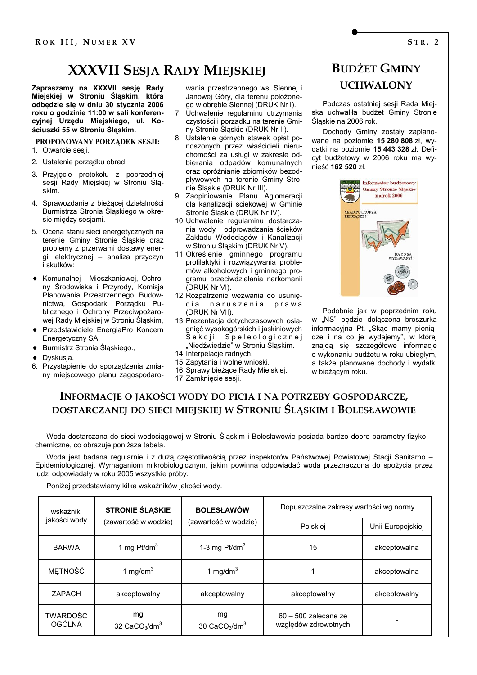# **XXXVII SESJA RADY MIEJSKIEJ**

Zapraszamy na XXXVII sesję Rady Miejskiej w Stroniu Śląskim, która odbędzie się w dniu 30 stycznia 2006 roku o godzinie 11:00 w sali konferencyjnej Urzędu Miejskiego, ul. Kościuszki 55 w Stroniu Śląskim.

### PROPONOWANY PORZADEK SESJI: 1. Otwarcie sesii.

- 2. Ustalenie porzadku obrad.
- 3. Przyjęcie protokołu z poprzedniej sesji Rady Miejskiej w Stroniu Śląskim
- 4. Sprawozdanie z bieżącej działalności Burmistrza Stronia Śląskiego w okresie między sesjami.
- 5. Ocena stanu sieci energetycznych na terenie Gminy Stronie Śląskie oraz problemy z przerwami dostawy energii elektrycznej - analiza przyczyn i skutków:
- Komunalnej i Mieszkaniowej, Ochrony Środowiska i Przyrody, Komisja Planowania Przestrzennego, Budownictwa. Gospodarki Porzadku Publicznego i Ochrony Przeciwpożarowej Rady Miejskiej w Stroniu Śląskim,
- Przedstawiciele EnergiaPro Koncern Energetyczny SA,
- ♦ Burmistrz Stronia Śląskiego.,
- Dyskusia.
- 6. Przystąpienie do sporządzenia zmiany miejscowego planu zagospodaro-

wania przestrzennego wsi Siennej i Janowej Góry, dla terenu położonego w obrębie Siennej (DRUK Nr I).

- 7. Uchwalenie regulaminu utrzymania czystości i porzadku na terenie Gminy Stronie Śląskie (DRUK Nr II).
- 8. Ustalenie górnych stawek opłat ponoszonych przez właścicieli nieruchomości za usługi w zakresie odbierania odpadów komunalnych oraz opróżnianie zbiorników bezodpływowych na terenie Gminy Stronie Śląskie (DRUK Nr III).
- 9. Zaopiniowanie Planu Aglomeracii dla kanalizacji ściekowej w Gminie Stronie Śląskie (DRUK Nr IV).
- 10. Uchwalenie regulaminu dostarczania wody i odprowadzania ścieków Zakładu Wodociągów i Kanalizacji w Stroniu Śląskim (DRUK Nr V).
- 11. Określenie gminnego programu profilaktyki i rozwiązywania problemów alkoholowych i gminnego programu przeciwdziałania narkomanii (DRUK Nr VI).
- 12. Rozpatrzenie wezwania do usunięcia naruszenia prawa (DRUK Nr VII).
- 13. Prezentacja dotychczasowych osiągnięć wysokogórskich i jaskiniowych Sekcji Speleologicznej "Niedźwiedzie" w Stroniu Śląskim.
- 14. Interpelacje radnych.
- 15. Zapytania i wolne wnioski.
- 16. Sprawy bieżące Rady Miejskiej.
- 17. Zamkniecie sesji.

# **BUDŻET GMINY UCHWALONY**

Podczas ostatniej sesji Rada Mieiska uchwaliła budżet Gminy Stronie Ślaskie na 2006 rok.

Dochody Gminy zostały zaplanowane na poziomie 15 280 808 zł, wydatki na poziomie 15 443 328 zł. Deficyt budżetowy w 2006 roku ma wynieść 162 520 zł.



Podobnie jak w poprzednim roku w "NS" bedzie dołączona broszurka informacyjna Pt. "Skąd mamy pieniądze i na co je wydajemy", w której znajdą się szczegółowe informacje o wykonaniu budżetu w roku ubiegłym, a także planowane dochody i wydatki w bieżącym roku.

## INFORMACJE O JAKOŚCI WODY DO PICIA I NA POTRZEBY GOSPODARCZE, DOSTARCZANEJ DO SIECI MIEJSKIEJ W STRONIU ŚLĄSKIM I BOLESŁAWOWIE

Woda dostarczana do sieci wodociągowej w Stroniu Śląskim i Bolesławowie posiada bardzo dobre parametry fizyko chemiczne, co obrazuje poniższa tabela.

Woda jest badana regularnie i z dużą częstotliwością przez inspektorów Państwowej Powiatowej Stacji Sanitarno -Epidemiologicznej. Wymaganiom mikrobiologicznym, jakim powinna odpowiadać woda przeznaczona do spożycia przez ludzi odpowiadały w roku 2005 wszystkie próby.

Poniżej przedstawiamy kilka wskaźników jakości wody.

| wskaźniki          | <b>STRONIE ŚLĄSKIE</b>                       | <b>BOLESŁAWÓW</b>    | Dopuszczalne zakresy wartości wg normy         |                   |  |
|--------------------|----------------------------------------------|----------------------|------------------------------------------------|-------------------|--|
| jakości wody       | (zawartość w wodzie)<br>(zawartość w wodzie) |                      | Polskiej                                       | Unii Europejskiej |  |
| <b>BARWA</b>       | 1 mg $Pt/dm3$                                | 1-3 mg $Pt/dm3$      | 15                                             | akceptowalna      |  |
| METNOŚĆ            | 1 mg/dm $3$                                  | 1 mg/dm $3$          |                                                | akceptowalna      |  |
| <b>ZAPACH</b>      | akceptowalny                                 | akceptowalny         | akceptowalny                                   | akceptowalny      |  |
| TWARDOŚĆ<br>OGÓLNA | mg<br>32 $CaCO3/dm3$                         | mg<br>30 $CaCO3/dm3$ | $60 - 500$ zalecane ze<br>względów zdrowotnych |                   |  |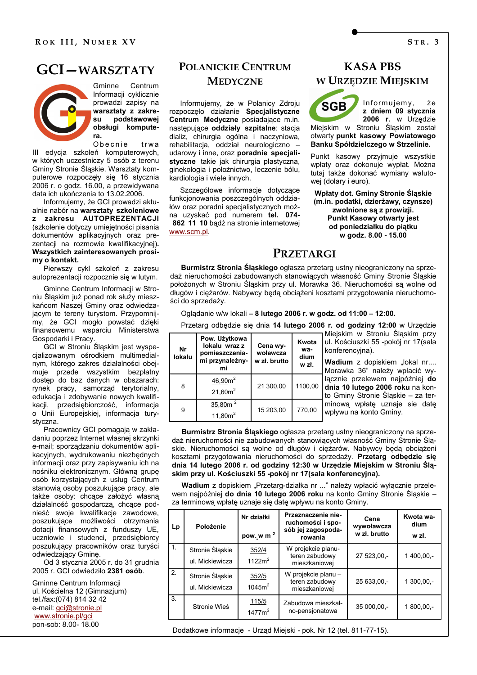## **GCI-WARSZTATY**

Gminne Centrum Informacji cyklicznie prowadzi zapisy na warsztaty z zakrepodstawowej su obsługi komputera.

Obecnie trwa III edycja szkoleń komputerowych, w których uczestniczy 5 osób z terenu Gminy Stronie Śląskie. Warsztaty komputerowe rozpoczęły się 16 stycznia 2006 r. o godz. 16.00, a przewidywana data ich ukończenia to 13.02.2006.

Informujemy, że GCI prowadzi aktualnie nabór na warsztaty szkoleniowe z zakresu AUTOPREZENTACJI (szkolenie dotyczy umiejetności pisania dokumentów aplikacyjnych oraz prezentacji na rozmowie kwalifikacyjnej). Wszystkich zainteresowanych prosimy o kontakt.

Pierwszy cykl szkoleń z zakresu autoprezentacji rozpocznie się w lutym.

Gminne Centrum Informacji w Stroniu Ślaskim już ponad rok służy mieszkańcom Naszej Gminy oraz odwiedzającym te tereny turystom. Przypomnijmy, że GCI mogło powstać dzieki finansowemu wsparciu Ministerstwa Gospodarki i Pracy.

GCI w Stroniu Śląskim jest wyspecjalizowanym ośrodkiem multimedialnym, którego zakres działalności obejmuje przede wszystkim bezpłatny dostęp do baz danych w obszarach: rynek pracy, samorząd terytorialny, edukacja i zdobywanie nowych kwalifikacji, przedsiębiorczość, informacja o Unii Europejskiej, informacja turystyczna.

Pracownicy GCI pomagaia w zakładaniu poprzez Internet własnej skrzynki e-mail; sporządzaniu dokumentów aplikacyjnych, wydrukowaniu niezbednych informacji oraz przy zapisywaniu ich na nośniku elektronicznym. Główną grupę osób korzystających z usług Centrum stanowia osoby poszukujące pracy, ale także osoby: chcace założyć własna działalność gospodarczą, chcące podnieść swoje kwalifikacje zawodowe, poszukujące możliwości otrzymania dotacji finansowych z funduszy UE, uczniowie i studenci, przedsiębiorcy poszukujący pracowników oraz turyści odwiedzający Gminę.

Od 3 stycznia 2005 r. do 31 grudnia 2005 r. GCI odwiedziło 2381 osób.

Gminne Centrum Informacji ul. Kościelna 12 (Gimnazjum) tel./fax:(074) 814 32 42 e-mail: gci@stronie.pl www.stronie.pl/gci pon-sob: 8.00- 18.00

## POLANICKIE CENTRUM **MEDYCZNE**

Informujemy, że w Polanicy Zdroju rozpoczeło działanie Specjalistyczne Centrum Medyczne posiadające m.in. nastepujace oddziały szpitalne: stacja dializ, chirurgia ogólna i naczyniowa, rehabilitacja, oddział neurologiczno udarowy i inne, oraz poradnie specjalistyczne takie jak chirurgia plastyczna, ginekologia i położnictwo, leczenie bólu, kardiologia i wiele innych.

Szczegółowe informacje dotyczące funkcjonowania poszczególnych oddziałów oraz poradni specjalistycznych można uzyskać pod numerem tel. 074-862 11 10 badź na stronie internetowej www.scm.pl.

## **KASA PRS** W URZĘDZIE MIEJSKIM



Informuiemv.  $\dot{z}$ e z dniem 09 stycznia 2006 r. w Urzedzie

Miejskim w Stroniu Śląskim został otwarty punkt kasowy Powiatowego Banku Spółdzielczego w Strzelinie.

Punkt kasowy przyjmuje wszystkie wołaty oraz dokonuje wypłat. Można tutaj także dokonać wymiany walutowej (dolary i euro).

Wpłaty dot. Gminy Stronie Śląskie (m.in. podatki, dzierżawy, czynsze) zwolnione są z prowizji. **Punkt Kasowy otwarty jest** od poniedziałku do piątku w godz. 8.00 - 15.00

## **PRZETARGI**

Burmistrz Stronia Śląskiego ogłasza przetarg ustny nieograniczony na sprzedaż nieruchomości zabudowanych stanowiących własność Gminy Stronie Śląskie położonych w Stroniu Śląskim przy ul. Morawka 36. Nieruchomości są wolne od długów i ciężarów. Nabywcy będą obciążeni kosztami przygotowania nieruchomości do sprzedaży.

Oglądanie w/w lokali - 8 lutego 2006 r. w godz. od 11:00 - 12:00.

Przetarg odbędzie się dnia 14 lutego 2006 r. od godziny 12:00 w Urzędzie

| Nr<br>lokalu | Pow. Użytkowa<br>lokalu wraz z<br>pomieszczenia-<br>mi przynależny-<br>mi | Cena wy-<br>woławcza<br>w zł. brutto | Kwota<br>wa-<br>dium<br>w zł. | Miejskim w Stroniu Śląskim przy<br>ul. Kościuszki 55 -pokój nr 17(sala<br>konferencyjna).<br>Wadium z dopiskiem "lokal nr<br>Morawka 36" należy wpłacić wy- |
|--------------|---------------------------------------------------------------------------|--------------------------------------|-------------------------------|-------------------------------------------------------------------------------------------------------------------------------------------------------------|
| 8            | $46,90m^2$<br>21,60m <sup>2</sup>                                         | 21 300.00                            |                               | łącznie przelewem najpóźniej do<br>1100,00 dnia 10 lutego 2006 roku na kon-<br>to Gminy Stronie Śląskie - za ter-                                           |
| 9            | 35,80m <sup>2</sup><br>11,80m <sup>2</sup>                                | 15 203,00                            | 770,00                        | minowa wpłatę uznaje sie datę<br>wpływu na konto Gminy.                                                                                                     |

Burmistrz Stronia Śląskiego ogłasza przetarg ustny nieograniczony na sprzedaż nieruchomości nie zabudowanych stanowiących własność Gminy Stronie Śląskie. Nieruchomości są wolne od długów i ciężarów. Nabywcy będą obciążeni kosztami przygotowania nieruchomości do sprzedaży. Przetarg odbedzie sie dnia 14 lutego 2006 r. od godziny 12:30 w Urzędzie Miejskim w Stroniu Śląskim przy ul. Kościuszki 55 -pokój nr 17 (sala konferencyjna).

Wadium z dopiskiem "Przetarg-działka nr ..." należy wpłacić wyłącznie przelewem najpóźniej do dnia 10 lutego 2006 roku na konto Gminy Stronie Śląskie za terminową wpłatę uznaje się datę wpływu na konto Gminy.

| Lp             | Położenie                          | Nr działki<br>pow. w m <sup>2</sup> | Przeznaczenie nie-<br>ruchomości i spo-<br>sób jej zagospoda-<br>rowania | Cena<br>wywoławcza<br>w zł. brutto | Kwota wa-<br>dium<br>w zł. |
|----------------|------------------------------------|-------------------------------------|--------------------------------------------------------------------------|------------------------------------|----------------------------|
| 1 <sub>1</sub> | Stronie Śląskie<br>ul. Mickiewicza | 352/4<br>$1122m^2$                  | W projekcie planu-<br>teren zabudowy<br>mieszkaniowej                    | 27 523,00,-                        | $1400,00,-$                |
| 2.             | Stronie Śląskie<br>ul. Mickiewicza | 352/5<br>1045m <sup>2</sup>         | W projekcie planu -<br>teren zabudowy<br>mieszkaniowej                   | 25 633,00,-                        | 1 300.00 .-                |
| 3.             | Stronie Wieś                       | 115/5<br>1477m <sup>2</sup>         | Zabudowa mieszkal-<br>no-pensjonatowa                                    | 35 000,00,-                        | $1800,00,-$                |

Dodatkowe informacje - Urząd Miejski - pok. Nr 12 (tel. 811-77-15).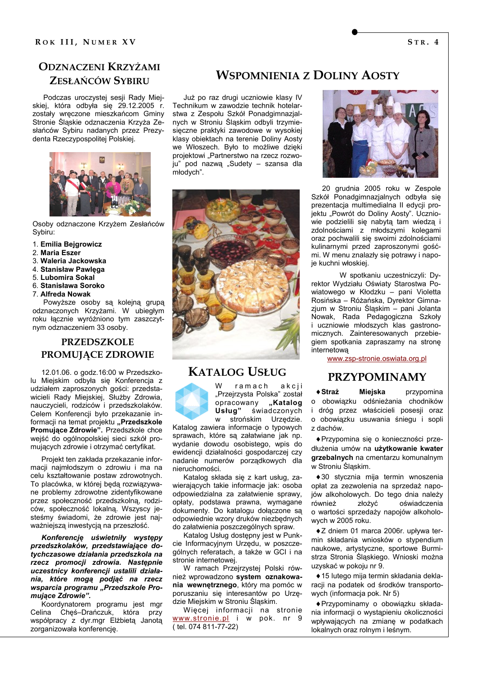## **ODZNACZENI KRZYŻAMI** ZESŁAŃCÓW SYBIRU

Podczas uroczystej sesji Rady Miejskiej, która odbyła się 29.12.2005 r. zostały wręczone mieszkańcom Gminy Stronie Śląskie odznaczenia Krzyża Zesłańców Sybiru nadanych przez Prezydenta Rzeczypospolitej Polskiej.



Osoby odznaczone Krzyżem Zesłańców Sybiru:

- 1. Emilia Bejgrowicz
- 2. Maria Eszer
- 3. Waleria Jackowska
- 4. Stanisław Pawlega
- 5. Lubomira Sokal
- 6. Stanisława Soroko
- 7. Alfreda Nowak

Powyższe osoby są kolejną grupą odznaczonych Krzyżami. W ubiegłym roku łącznie wyróżniono tym zaszczytnym odznaczeniem 33 osoby.

### **PRZEDSZKOLE** PROMUJĄCE ZDROWIE

12.01.06. o godz.16:00 w Przedszkolu Mieiskim odbyła sie Konferencia z udziałem zaproszonych gości: przedstawicieli Rady Miejskiej, Służby Zdrowia, nauczycieli, rodziców i przedszkolaków. Celem Konferencji było przekazanie informacji na temat projektu "Przedszkole Promujące Zdrowie". Przedszkole chce wejść do ogólnopolskiej sieci szkół promujących zdrowie i otrzymać certyfikat.

Projekt ten zakłada przekazanie informacji najmłodszym o zdrowiu i ma na celu kształtowanie postaw zdrowotnych. To placówka, w której będą rozwiązywane problemy zdrowotne zidentyfikowane przez społeczność przedszkolną, rodziców, społeczność lokalną. Wszyscy jesteśmy świadomi, że zdrowie jest najważniejszą inwestycją na przeszłość.

Konferencje uświetniły występy przedszkolaków, przedstawiające dotychczasowe działania przedszkola na rzecz promocji zdrowia. Następnie uczestnicy konferencji ustalili działania, które mogą podjąć na rzecz wsparcia programu "Przedszkole Promuiace Zdrowie".

Koordynatorem programu jest mgr Celina Cheś-Drańczuk, która przy współpracy z dyr.mgr Elżbieta Janota zorganizowała konferencję.

## **WSPOMNIENIA Z DOLINY AOSTY**

Już po raz drugi uczniowie klasy IV Technikum w zawodzie technik hotelarstwa z Zespołu Szkół Ponadgimnazjalnych w Stroniu Śląskim odbyli trzymiesieczne praktyki zawodowe w wysokiej klasy objektach na terenie Doliny Aosty we Włoszech. Było to możliwe dzięki projektowi "Partnerstwo na rzecz rozwoju" pod nazwa "Sudety – szansa dla młodych".



## **KATALOG USŁUG**

 $r$ amach akcii "Przejrzysta Polska" został opracowany "Katalog Usług" świadczonych strońskim Urzędzie.  $\mathbf{w}$ 

Katalog zawiera informacie o typowych sprawach, które są załatwiane jak np. wydanie dowodu osobistego, wpis do ewidencji działalności gospodarczej czy nadanie numerów porządkowych dla nieruchomości.

Katalog składa sie z kart usług. zawierających takie informacje jak: osoba odpowiedzialna za załatwienie sprawy, opłaty, podstawa prawna, wymagane dokumenty. Do katalogu dołączone są odpowiednie wzory druków niezbędnych do załatwienia poszczególnych spraw.

Katalog Usług dostepny jest w Punkcie Informacyjnym Urzędu, w poszczególnych referatach, a także w GCI i na stronie internetowei.

W ramach Przejrzystej Polski również wprowadzono system oznakowania wewnętrznego, który ma pomóc w poruszaniu sie interesantów po Urzedzie Miejskim w Stroniu Ślaskim.

Wiecej informacji na stronie www.stronie.pl i w pok. nr 9 (tel. 074 811-77-22)



20 grudnia 2005 roku w Zespole Szkół Ponadgimnazjalnych odbyła się prezentacja multimedialna II edycji projektu "Powrót do Doliny Aosty". Uczniowie podzielili się nabytą tam wiedza i zdolnościami z młodszymi kolegami oraz pochwalili się swoimi zdolnościami kulinarnymi przed zaproszonymi gośćmi. W menu znalazły się potrawy i napoie kuchni włoskiei.

W spotkaniu uczestniczyli: Dyrektor Wydziału Oświaty Starostwa Powiatowego w Kłodzku - pani Violetta Rosińska – Różańska, Dyrektor Gimnazium w Stroniu Śląskim - pani Jolanta Nowak, Rada Pedagogiczna Szkoły i uczniowie młodszych klas gastronomicznych. Zainteresowanych przebiegiem spotkania zapraszamy na stronę internetowa

www.zsp-stronie.oswiata.org.pl

## **PRZYPOMINAMY**

 $\triangle$  Straż **Mieiska** przypomina o obowiązku odśnieżania chodników i dróg przez właścicieli posesji oraz o obowiązku usuwania śniegu i sopli z dachów.

◆ Przypomina się o konieczności przedłużenia umów na użytkowanie kwater grzebalnych na cmentarzu komunalnym w Stroniu Śląskim.

◆30 stycznia mija termin wnoszenia opłat za zezwolenia na sprzedaż napojów alkoholowych. Do tego dnia należy również złożyć oświadczenia o wartości sprzedaży napojów alkoholowych w 2005 roku.

◆ Z dniem 01 marca 2006r. upływa termin składania wniosków o stypendium naukowe, artystyczne, sportowe Burmistrza Stronia Śląskiego. Wnioski można uzyskać w pokoju nr 9.

◆ 15 lutego mija termin składania deklaracii na podatek od środków transportowych (informacja pok. Nr 5)

◆ Przypominamy o obowiazku składania informacji o wystapieniu okoliczności wpływających na zmiane w podatkach lokalnych oraz rolnym i leśnym.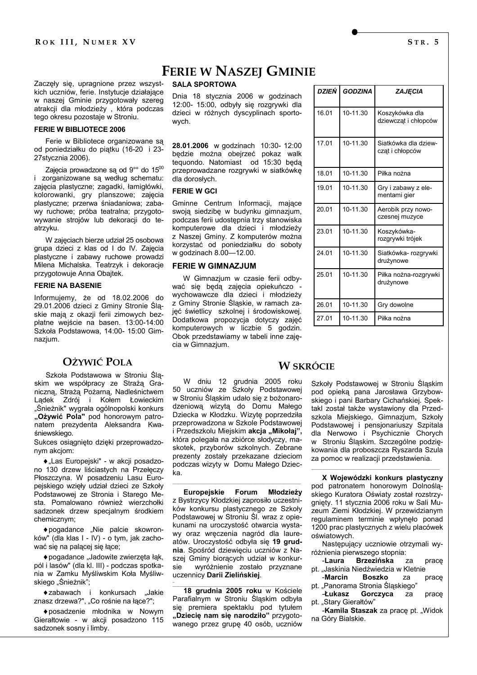Zaczęły się, upragnione przez wszystkich uczniów, ferie. Instytucje działające w naszej Gminie przygotowały szereg atrakcji dla młodzieży, która podczas tego okresu pozostaje w Stroniu.

### **FERIE W BIBLIOTECE 2006**

Ferie w Bibliotece organizowane sa od poniedziałku do piątku (16-20 i 23-27stycznia 2006).

Zajęcia prowadzone są od 9°° do 1500 i zorganizowane są według schematu: zajęcia plastyczne; zagadki, łamigłówki, kolorowanki, gry planszowe; zajęcia plastyczne; przerwa śniadaniowa; zabawy ruchowe; próba teatralna; przygotowywanie strojów lub dekoracji do teatrzyku.

W zajęciach bierze udział 25 osobowa grupa dzieci z klas od I do IV. Zajęcia plastyczne i zabawy ruchowe prowadzi Milena Michalska. Teatrzyk i dekoracje przygotowuje Anna Obajtek.

### **FERIE NA BASENIE**

Informujemy, że od 18.02.2006 do 29.01.2006 dzieci z Gminy Stronie Ślaskie mają z okazji ferii zimowych bezpłatne wejście na basen. 13:00-14:00 Szkoła Podstawowa, 14:00- 15:00 Gimnazium.

### OŻYWIĆ POLA

Szkoła Podstawowa w Stroniu Ślaskim we współpracy ze Strażą Graniczną, Strażą Pożarną, Nadleśnictwem Ladek Zdrój i Kołem Łowieckim "Śnieżnik" wygrała ogólnopolski konkurs "Ożywić Pola" pod honorowym patronatem prezydenta Aleksandra Kwaśniewskiego.

Sukces osiągnięto dzięki przeprowadzonym akcjom:

◆ "Las Europejski" - w akcji posadzono 130 drzew liściastych na Przełęczy Płoszczyna. W posadzeniu Lasu Europejskiego wzięły udział dzieci ze Szkoły Podstawowej ze Stronia i Starego Mesta. Pomalowano również wierzchołki sadzonek drzew specjalnym środkiem chemicznym:

◆ pogadance "Nie palcie skowronków" (dla klas I - IV) - o tym, jak zachować się na palącej się łące;

◆ pogadance "Jadowite zwierzęta łąk, pól i lasów" (dla kl. III) - podczas spotkania w Zamku Myśliwskim Koła Myśliwskiego "Śnieżnik";

◆zabawach i konkursach "Jakie znasz drzewa?", "Co rośnie na łące?";

◆posadzenie młodnika w Nowym Gierałtowie - w akcji posadzono 115 sadzonek sosny i limby.

## **FERIE W NASZEJ GMINIE**

### **SALA SPORTOWA**

Dnia 18 stycznia 2006 w godzinach 12:00- 15:00, odbyły się rozgrywki dla dzieci w różnych dyscyplinach sportowych

28.01.2006 w godzinach 10:30- 12:00 będzie można obejrzeć pokaz walk tequondo. Natomiast od 15:30 beda przeprowadzane rozgrywki w siatkówkę dla dorosłych.

### **FERIE W GCI**

Gminne Centrum Informacji, mające swoja siedzibe w budynku gimnazjum, podczas ferii udostępnia trzy stanowiska komputerowe dla dzieci i młodzieży z Naszej Gminy. Z komputerów można korzystać od poniedziałku do soboty w godzinach 8.00-12.00.

#### **FERIE W GIMNAZJUM**

W Gimnazium w czasie ferii odbywać się będą zajęcia opiekuńczo wychowawcze dla dzieci i młodzieży z Gminy Stronie Śląskie, w ramach zajęć świetlicy szkolnej i środowiskowej. Dodatkowa propozycja dotyczy zajęć komputerowych w liczbie 5 godzin. Obok przedstawiamy w tabeli inne zajęcia w Gimnazjum.

| DZIEŃ | <b>GODZINA</b> | ZAJECIA                                 |
|-------|----------------|-----------------------------------------|
| 16.01 | 10-11.30       | Koszykówka dla<br>dziewcząt i chłopców  |
| 17.01 | 10-11.30       | Siatkówka dla dziew-<br>czat i chłopców |
| 18.01 | 10-11 30       | Piłka nożna                             |
| 19 01 | 10-11 30       | Gry i zabawy z ele-<br>mentami gier     |
| 20.01 | 10-11 30       | Aerobik przy nowo-<br>czesnej muzyce    |
| 23.01 | 10-11 30       | Koszykówka-<br>rozgrywki trójek         |
| 24 01 | 10-11 30       | Siatkówka- rozgrywki<br>drużynowe       |
| 25.01 | 10-11.30       | Piłka nożna-rozgrywki<br>drużynowe      |
| 26.01 | 10-11.30       | Gry dowolne                             |
| 27.01 | 10-11.30       | Piłka nożna                             |

### **W SKRÓCIE**

W dniu 12 grudnia 2005 roku 50 uczniów ze Szkoły Podstawowej w Stroniu Śląskim udało się z bożonarodzeniową wizytą do Domu Małego Dziecka w Kłodzku. Wizytę poprzedziła przeprowadzona w Szkole Podstawowej i Przedszkolu Miejskim akcja "Mikołaj", która polegała na zbiórce słodyczy, maskotek, przyborów szkolnych, Zebrane prezenty zostały przekazane dzieciom podczas wizyty w Domu Małego Dziecka.

**Europejskie Forum** Młodzieży z Bystrzycy Kłodzkiej zaprosiło uczestników konkursu plastycznego ze Szkoły Podstawowej w Stroniu Śl. wraz z opiekunami na uroczystość otwarcia wystawy oraz wreczenia nagród dla laureatów. Uroczystość odbyła się 19 grudnia. Spośród dziewięciu uczniów z Naszei Gminy bioracych udział w konkurwyróżnienie zostało przyznane sie uczennicy Darii Zielińskiej.

18 grudnia 2005 roku w Kościele Parafialnym w Stroniu Śląskim odbyła się premiera spektaklu pod tytułem "Dziecię nam się narodziło" przygotowanego przez grupę 40 osób, uczniów

Szkoły Podstawowej w Stroniu Śląskim pod opieką pana Jarosława Grzybowskiego i pani Barbary Cichańskiej. Spektakl został także wystawiony dla Przedszkola Miejskiego, Gimnazjum, Szkoły Podstawowej i pensjonariuszy Szpitala dla Nerwowo i Psychicznie Chorych w Stroniu Śląskim. Szczególne podziękowania dla proboszcza Ryszarda Szula za pomoc w realizacji przedstawienia.

X Wojewódzki konkurs plastyczny pod patronatem honorowym Dolnoślaskiego Kuratora Oświaty został rozstrzygnięty. 11 stycznia 2006 roku w Sali Muzeum Ziemi Kłodzkiej. W przewidzianym regulaminem terminie wpłynęło ponad 1200 prac plastycznych z wielu placówek oświatowych.

Następujący uczniowie otrzymali wyróżnienia pierwszego stopnia:

-Laura **Brzezińska**  $72$ prace pt. "Jaskinia Niedźwiedzia w Kletnie

-Marcin **Boszko**  $7a$ prace pt. "Panorama Stronia Śląskiego"

Łukasz Gorczyca  $7a$ prace pt. "Stary Gierałtów"

-Kamila Staszak za pracę pt. "Widok na Góry Bialskie.